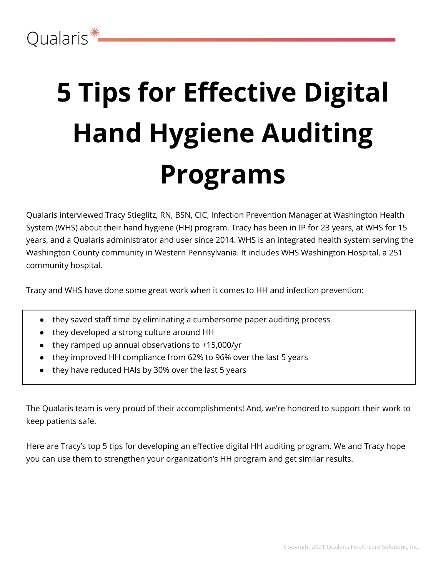# **5 Tips for Effective Digital Hand Hygiene Auditing Programs**

Qualaris interviewed Tracy Stieglitz, RN, BSN, CIC, Infection Prevention Manager at Washington Health System (WHS) about their hand hygiene (HH) program. Tracy has been in IP for 23 years, at WHS for 15 years, and a Qualaris administrator and user since 2014. WHS is an integrated health system serving the Washington County community in Western Pennsylvania. It includes WHS Washington Hospital, a 251 community hospital.

Tracy and WHS have done some great work when it comes to HH and infection prevention:

- they saved staff time by eliminating a cumbersome paper auditing process
- they developed a strong culture around HH
- they ramped up annual observations to +15,000/yr
- they improved HH compliance from 62% to 96% over the last 5 years
- they have reduced HAIs by 30% over the last 5 years

The Qualaris team is very proud of their accomplishments! And, we're honored to support their work to keep patients safe.

Here are Tracy's top 5 tips for developing an effective digital HH auditing program. We and Tracy hope you can use them to strengthen your organization's HH program and get similar results.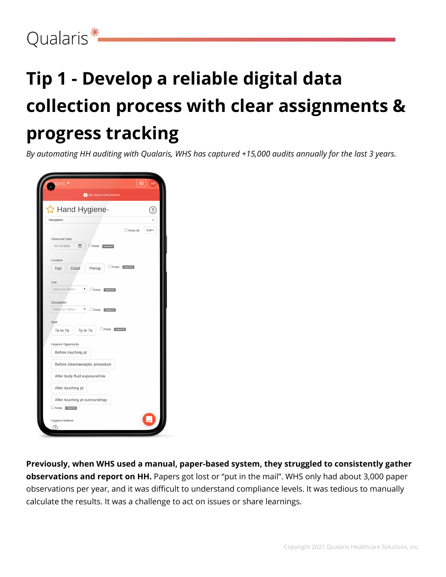### Qualaris<sup>\*</sup>

# **Tip 1 - Develop a reliable digital data collection process with clear assignments & progress tracking**

*By automating HH auditing with Qualaris, WHS has captured +15,000 audits annually for the last 3 years.*

| alaris *                                           | DB              |
|----------------------------------------------------|-----------------|
| (a) My recent submissions                          |                 |
| ☆ Hand Hygiene-                                    | ?               |
| Navigation                                         |                 |
| $\Box$ Keep all                                    | $E$ dit $\star$ |
| Observed Date                                      |                 |
| 01/21/2021<br>▭<br>$\square$ Keep<br>required      |                 |
|                                                    |                 |
| Location                                           |                 |
| $\Box$ Keep<br>required<br>Outpt<br>Periop<br>Inpt |                 |
| Unit                                               |                 |
| Select an Option<br>Keep [required]                |                 |
|                                                    |                 |
| Occupation                                         |                 |
| Select an Option<br>▼<br>$\Box$ Keep<br>required   |                 |
| Shift                                              |                 |
| Keep [required]<br>7a to 7p<br>7p to 7a            |                 |
|                                                    |                 |
| Hygiene Opportunity                                |                 |
| Before touching pt                                 |                 |
| Before clean/aeseptic procedure                    |                 |
| After body fluid exposure/risk                     |                 |
| After touching pt                                  |                 |
| After touching pt surroundings                     |                 |
| Keep [required]                                    |                 |
| Hygiene Method                                     |                 |
| ැ?                                                 |                 |

**Previously, when WHS used a manual, paper-based system, they struggled to consistently gather observations and report on HH.** Papers got lost or "put in the mail". WHS only had about 3,000 paper observations per year, and it was difficult to understand compliance levels. It was tedious to manually calculate the results. It was a challenge to act on issues or share learnings.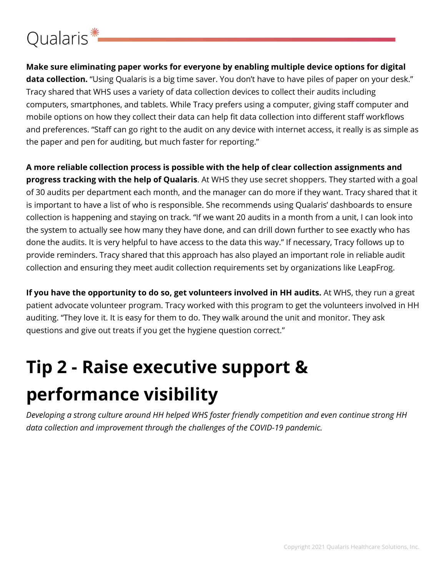### Qualaris<sup>\*</sup>

**Make sure eliminating paper works for everyone by enabling multiple device options for digital data collection.** "Using Qualaris is a big time saver. You don't have to have piles of paper on your desk." Tracy shared that WHS uses a variety of data collection devices to collect their audits including computers, smartphones, and tablets. While Tracy prefers using a computer, giving staff computer and mobile options on how they collect their data can help fit data collection into different staff workflows and preferences. "Staff can go right to the audit on any device with internet access, it really is as simple as the paper and pen for auditing, but much faster for reporting."

**A more reliable collection process is possible with the help of clear collection assignments and progress tracking with the help of Qualaris**. At WHS they use secret shoppers. They started with a goal of 30 audits per department each month, and the manager can do more if they want. Tracy shared that it is important to have a list of who is responsible. She recommends using Qualaris' dashboards to ensure collection is happening and staying on track. "If we want 20 audits in a month from a unit, I can look into the system to actually see how many they have done, and can drill down further to see exactly who has done the audits. It is very helpful to have access to the data this way." If necessary, Tracy follows up to provide reminders. Tracy shared that this approach has also played an important role in reliable audit collection and ensuring they meet audit collection requirements set by organizations like LeapFrog.

**If you have the opportunity to do so, get volunteers involved in HH audits.** At WHS, they run a great patient advocate volunteer program. Tracy worked with this program to get the volunteers involved in HH auditing. "They love it. It is easy for them to do. They walk around the unit and monitor. They ask questions and give out treats if you get the hygiene question correct."

# **Tip 2 - Raise executive support & performance visibility**

*Developing a strong culture around HH helped WHS foster friendly competition and even continue strong HH data collection and improvement through the challenges of the COVID-19 pandemic.*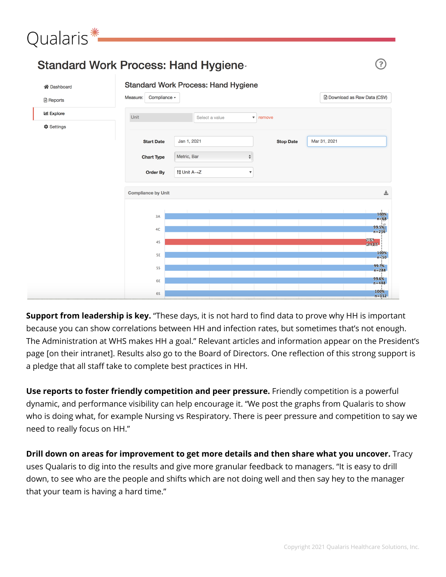

**Support from leadership is key.** "These days, it is not hard to find data to prove why HH is important because you can show correlations between HH and infection rates, but sometimes that's not enough. The Administration at WHS makes HH a goal." Relevant articles and information appear on the President's page [on their intranet]. Results also go to the Board of Directors. One reflection of this strong support is a pledge that all staff take to complete best practices in HH.

**Use reports to foster friendly competition and peer pressure.** Friendly competition is a powerful dynamic, and performance visibility can help encourage it. "We post the graphs from Qualaris to show who is doing what, for example Nursing vs Respiratory. There is peer pressure and competition to say we need to really focus on HH."

**Drill down on areas for improvement to get more details and then share what you uncover.** Tracy uses Qualaris to dig into the results and give more granular feedback to managers. "It is easy to drill down, to see who are the people and shifts which are not doing well and then say hey to the manager that your team is having a hard time."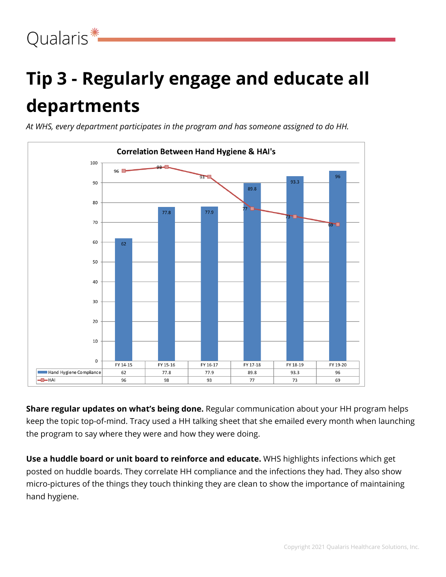# **Tip 3 - Regularly engage and educate all departments**

*At WHS, every department participates in the program and has someone assigned to do HH.*



**Share regular updates on what's being done.** Regular communication about your HH program helps keep the topic top-of-mind. Tracy used a HH talking sheet that she emailed every month when launching the program to say where they were and how they were doing.

**Use a huddle board or unit board to reinforce and educate.** WHS highlights infections which get posted on huddle boards. They correlate HH compliance and the infections they had. They also show micro-pictures of the things they touch thinking they are clean to show the importance of maintaining hand hygiene.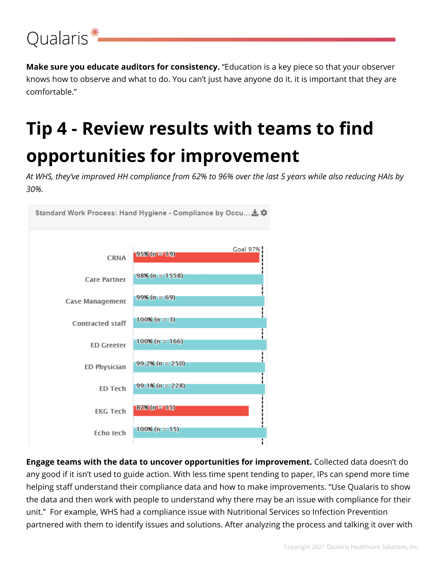

**Make sure you educate auditors for consistency.** "Education is a key piece so that your observer knows how to observe and what to do. You can't just have anyone do it. it is important that they are comfortable."

## **Tip 4 - Review results with teams to find opportunities for improvement**

At WHS, they've improved HH compliance from 62% to 96% over the last 5 years while also reducing HAIs by *30%.*



**Engage teams with the data to uncover opportunities for improvement.** Collected data doesn't do any good if it isn't used to guide action. With less time spent tending to paper, IPs can spend more time helping staff understand their compliance data and how to make improvements. "Use Qualaris to show the data and then work with people to understand why there may be an issue with compliance for their unit." For example, WHS had a compliance issue with Nutritional Services so Infection Prevention partnered with them to identify issues and solutions. After analyzing the process and talking it over with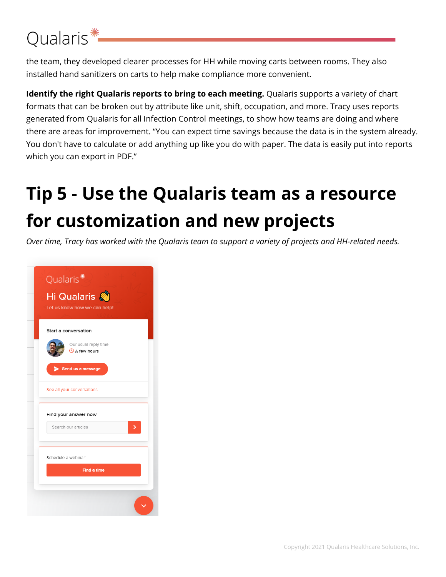### Qualaris<sup>\*</sup>

the team, they developed clearer processes for HH while moving carts between rooms. They also installed hand sanitizers on carts to help make compliance more convenient.

**Identify the right Qualaris reports to bring to each meeting.** Qualaris supports a variety of chart formats that can be broken out by attribute like unit, shift, occupation, and more. Tracy uses reports generated from Qualaris for all Infection Control meetings, to show how teams are doing and where there are areas for improvement. "You can expect time savings because the data is in the system already. You don't have to calculate or add anything up like you do with paper. The data is easily put into reports which you can export in PDF."

# **Tip 5 - Use the Qualaris team as a resource for customization and new projects**

Over time, Tracy has worked with the Qualaris team to support a variety of projects and HH-related needs.